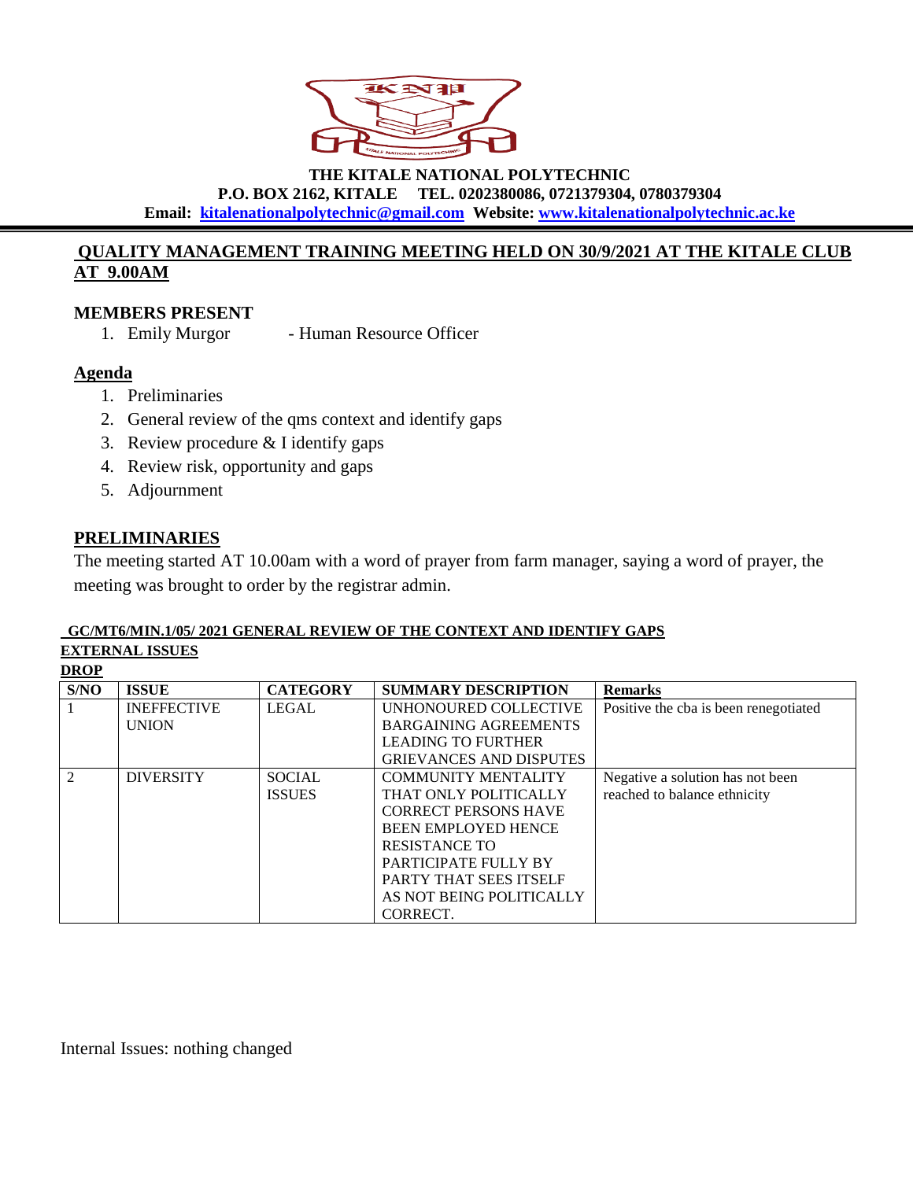

**THE KITALE NATIONAL POLYTECHNIC**

**P.O. BOX 2162, KITALE TEL. 0202380086, 0721379304, 0780379304**

**Email: [kitalenationalpolytechnic@gmail.com](mailto:kitaletechnical@gmail.com) Website: [www.kitalenationalpolytechnic.ac.ke](http://www.kitalenationalpolytechnic.ac.ke/)**

## **QUALITY MANAGEMENT TRAINING MEETING HELD ON 30/9/2021 AT THE KITALE CLUB AT 9.00AM**

### **MEMBERS PRESENT**

1. Emily Murgor - Human Resource Officer

### **Agenda**

- 1. Preliminaries
- 2. General review of the qms context and identify gaps
- 3. Review procedure & I identify gaps
- 4. Review risk, opportunity and gaps
- 5. Adjournment

## **PRELIMINARIES**

The meeting started AT 10.00am with a word of prayer from farm manager, saying a word of prayer, the meeting was brought to order by the registrar admin.

#### **GC/MT6/MIN.1/05/ 2021 GENERAL REVIEW OF THE CONTEXT AND IDENTIFY GAPS EXTERNAL ISSUES**

**DROP** 

| S/NO           | <b>ISSUE</b>       | <b>CATEGORY</b> | <b>SUMMARY DESCRIPTION</b>     | <b>Remarks</b>                        |
|----------------|--------------------|-----------------|--------------------------------|---------------------------------------|
|                | <b>INEFFECTIVE</b> | <b>LEGAL</b>    | UNHONOURED COLLECTIVE          | Positive the cba is been renegotiated |
|                | <b>UNION</b>       |                 | <b>BARGAINING AGREEMENTS</b>   |                                       |
|                |                    |                 | <b>LEADING TO FURTHER</b>      |                                       |
|                |                    |                 | <b>GRIEVANCES AND DISPUTES</b> |                                       |
| $\mathfrak{D}$ | <b>DIVERSITY</b>   | <b>SOCIAL</b>   | <b>COMMUNITY MENTALITY</b>     | Negative a solution has not been      |
|                |                    | <b>ISSUES</b>   | THAT ONLY POLITICALLY          | reached to balance ethnicity          |
|                |                    |                 | <b>CORRECT PERSONS HAVE</b>    |                                       |
|                |                    |                 | <b>BEEN EMPLOYED HENCE</b>     |                                       |
|                |                    |                 | <b>RESISTANCE TO</b>           |                                       |
|                |                    |                 | PARTICIPATE FULLY BY           |                                       |
|                |                    |                 | <b>PARTY THAT SEES ITSELF</b>  |                                       |
|                |                    |                 | AS NOT BEING POLITICALLY       |                                       |
|                |                    |                 | CORRECT.                       |                                       |

Internal Issues: nothing changed